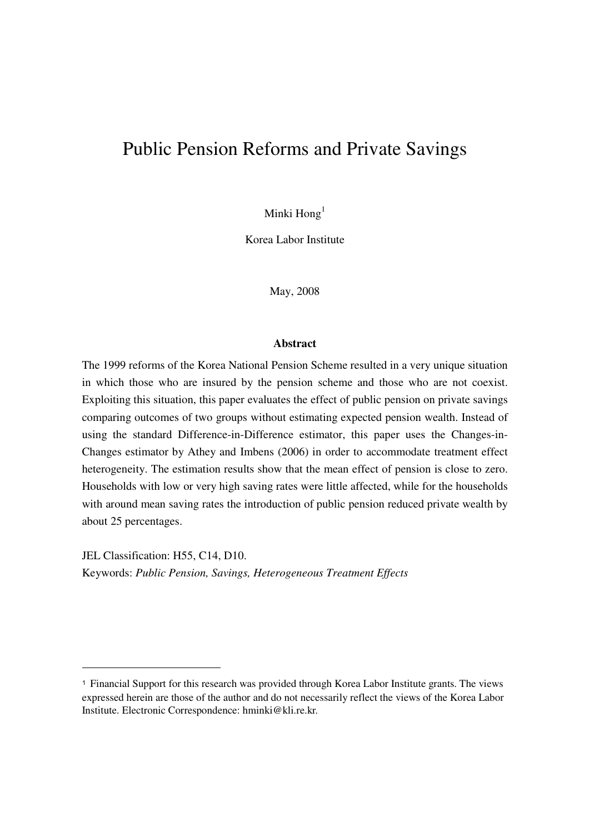# Public Pension Reforms and Private Savings

Minki  $\text{Hong}^1$ 

Korea Labor Institute

May, 2008

#### **Abstract**

The 1999 reforms of the Korea National Pension Scheme resulted in a very unique situation in which those who are insured by the pension scheme and those who are not coexist. Exploiting this situation, this paper evaluates the effect of public pension on private savings comparing outcomes of two groups without estimating expected pension wealth. Instead of using the standard Difference-in-Difference estimator, this paper uses the Changes-in-Changes estimator by Athey and Imbens (2006) in order to accommodate treatment effect heterogeneity. The estimation results show that the mean effect of pension is close to zero. Households with low or very high saving rates were little affected, while for the households with around mean saving rates the introduction of public pension reduced private wealth by about 25 percentages.

JEL Classification: H55, C14, D10. Keywords: *Public Pension, Savings, Heterogeneous Treatment Effects*

-

<sup>1</sup> Financial Support for this research was provided through Korea Labor Institute grants. The views expressed herein are those of the author and do not necessarily reflect the views of the Korea Labor Institute. Electronic Correspondence: hminki@kli.re.kr.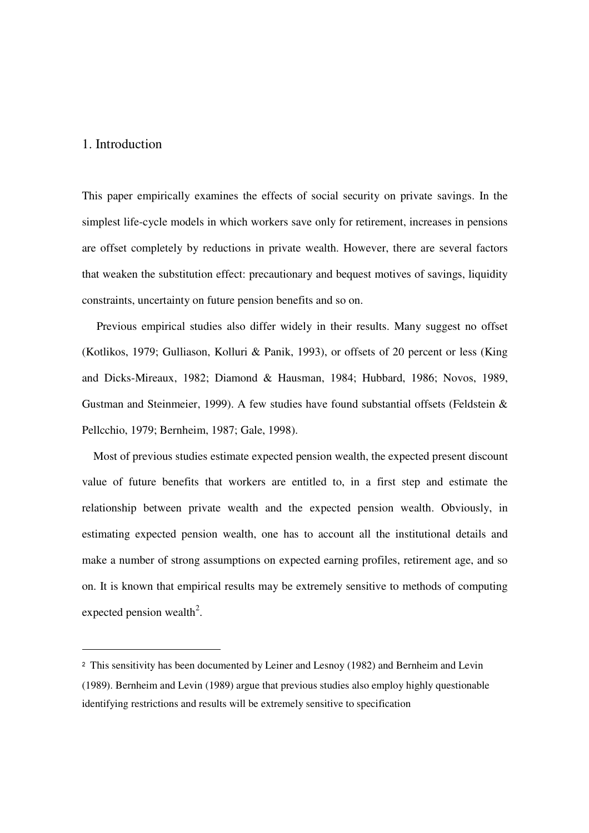#### 1. Introduction

-

This paper empirically examines the effects of social security on private savings. In the simplest life-cycle models in which workers save only for retirement, increases in pensions are offset completely by reductions in private wealth. However, there are several factors that weaken the substitution effect: precautionary and bequest motives of savings, liquidity constraints, uncertainty on future pension benefits and so on.

 Previous empirical studies also differ widely in their results. Many suggest no offset (Kotlikos, 1979; Gulliason, Kolluri & Panik, 1993), or offsets of 20 percent or less (King and Dicks-Mireaux, 1982; Diamond & Hausman, 1984; Hubbard, 1986; Novos, 1989, Gustman and Steinmeier, 1999). A few studies have found substantial offsets (Feldstein & Pellcchio, 1979; Bernheim, 1987; Gale, 1998).

Most of previous studies estimate expected pension wealth, the expected present discount value of future benefits that workers are entitled to, in a first step and estimate the relationship between private wealth and the expected pension wealth. Obviously, in estimating expected pension wealth, one has to account all the institutional details and make a number of strong assumptions on expected earning profiles, retirement age, and so on. It is known that empirical results may be extremely sensitive to methods of computing expected pension wealth<sup>2</sup>.

<sup>2</sup> This sensitivity has been documented by Leiner and Lesnoy (1982) and Bernheim and Levin (1989). Bernheim and Levin (1989) argue that previous studies also employ highly questionable identifying restrictions and results will be extremely sensitive to specification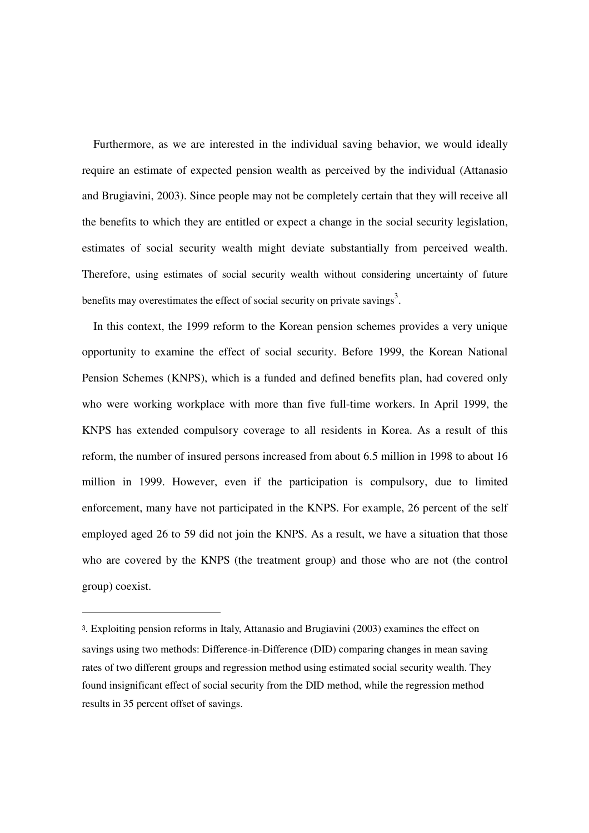Furthermore, as we are interested in the individual saving behavior, we would ideally require an estimate of expected pension wealth as perceived by the individual (Attanasio and Brugiavini, 2003). Since people may not be completely certain that they will receive all the benefits to which they are entitled or expect a change in the social security legislation, estimates of social security wealth might deviate substantially from perceived wealth. Therefore, using estimates of social security wealth without considering uncertainty of future benefits may overestimates the effect of social security on private savings<sup>3</sup>.

In this context, the 1999 reform to the Korean pension schemes provides a very unique opportunity to examine the effect of social security. Before 1999, the Korean National Pension Schemes (KNPS), which is a funded and defined benefits plan, had covered only who were working workplace with more than five full-time workers. In April 1999, the KNPS has extended compulsory coverage to all residents in Korea. As a result of this reform, the number of insured persons increased from about 6.5 million in 1998 to about 16 million in 1999. However, even if the participation is compulsory, due to limited enforcement, many have not participated in the KNPS. For example, 26 percent of the self employed aged 26 to 59 did not join the KNPS. As a result, we have a situation that those who are covered by the KNPS (the treatment group) and those who are not (the control group) coexist.

-

<sup>3</sup>. Exploiting pension reforms in Italy, Attanasio and Brugiavini (2003) examines the effect on savings using two methods: Difference-in-Difference (DID) comparing changes in mean saving rates of two different groups and regression method using estimated social security wealth. They found insignificant effect of social security from the DID method, while the regression method results in 35 percent offset of savings.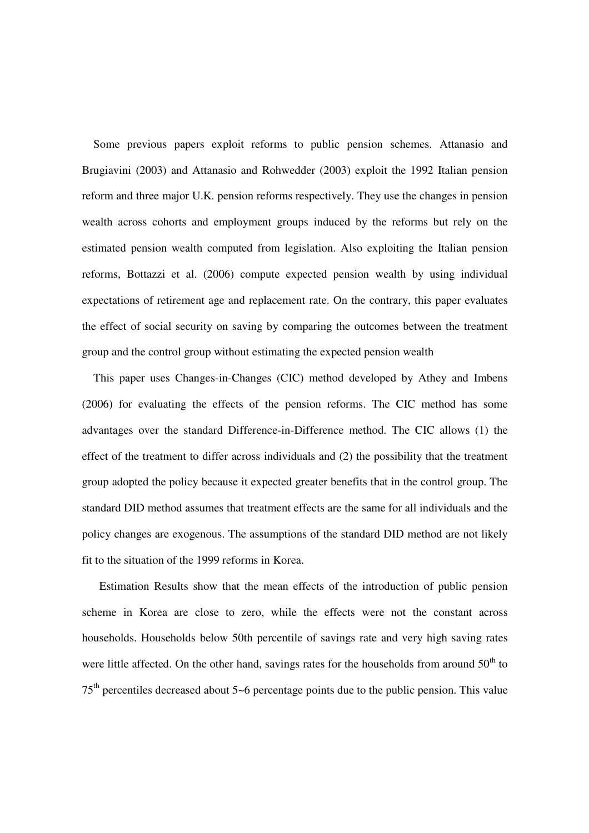Some previous papers exploit reforms to public pension schemes. Attanasio and Brugiavini (2003) and Attanasio and Rohwedder (2003) exploit the 1992 Italian pension reform and three major U.K. pension reforms respectively. They use the changes in pension wealth across cohorts and employment groups induced by the reforms but rely on the estimated pension wealth computed from legislation. Also exploiting the Italian pension reforms, Bottazzi et al. (2006) compute expected pension wealth by using individual expectations of retirement age and replacement rate. On the contrary, this paper evaluates the effect of social security on saving by comparing the outcomes between the treatment group and the control group without estimating the expected pension wealth

This paper uses Changes-in-Changes (CIC) method developed by Athey and Imbens (2006) for evaluating the effects of the pension reforms. The CIC method has some advantages over the standard Difference-in-Difference method. The CIC allows (1) the effect of the treatment to differ across individuals and (2) the possibility that the treatment group adopted the policy because it expected greater benefits that in the control group. The standard DID method assumes that treatment effects are the same for all individuals and the policy changes are exogenous. The assumptions of the standard DID method are not likely fit to the situation of the 1999 reforms in Korea.

 Estimation Results show that the mean effects of the introduction of public pension scheme in Korea are close to zero, while the effects were not the constant across households. Households below 50th percentile of savings rate and very high saving rates were little affected. On the other hand, savings rates for the households from around  $50<sup>th</sup>$  to  $75<sup>th</sup>$  percentiles decreased about 5~6 percentage points due to the public pension. This value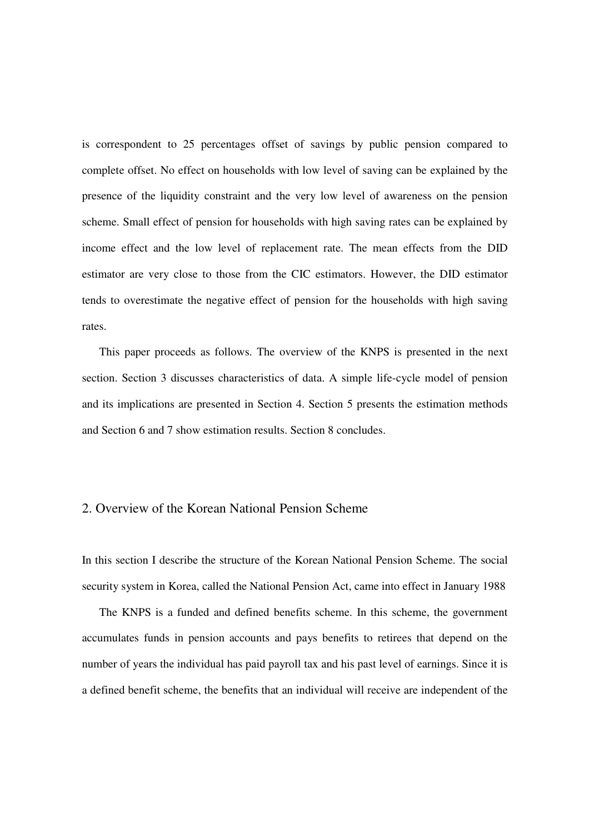is correspondent to 25 percentages offset of savings by public pension compared to complete offset. No effect on households with low level of saving can be explained by the presence of the liquidity constraint and the very low level of awareness on the pension scheme. Small effect of pension for households with high saving rates can be explained by income effect and the low level of replacement rate. The mean effects from the DID estimator are very close to those from the CIC estimators. However, the DID estimator tends to overestimate the negative effect of pension for the households with high saving rates.

 This paper proceeds as follows. The overview of the KNPS is presented in the next section. Section 3 discusses characteristics of data. A simple life-cycle model of pension and its implications are presented in Section 4. Section 5 presents the estimation methods and Section 6 and 7 show estimation results. Section 8 concludes.

### 2. Overview of the Korean National Pension Scheme

In this section I describe the structure of the Korean National Pension Scheme. The social security system in Korea, called the National Pension Act, came into effect in January 1988

The KNPS is a funded and defined benefits scheme. In this scheme, the government accumulates funds in pension accounts and pays benefits to retirees that depend on the number of years the individual has paid payroll tax and his past level of earnings. Since it is a defined benefit scheme, the benefits that an individual will receive are independent of the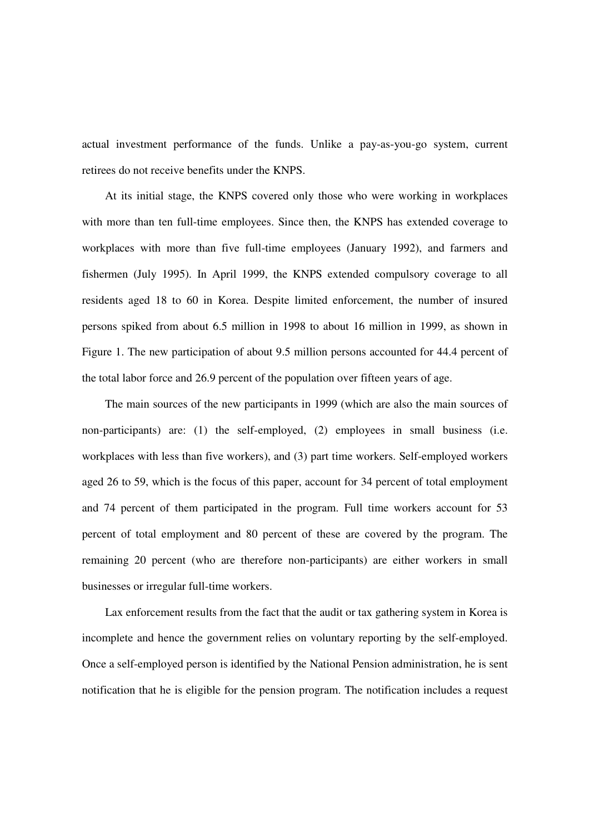actual investment performance of the funds. Unlike a pay-as-you-go system, current retirees do not receive benefits under the KNPS.

 At its initial stage, the KNPS covered only those who were working in workplaces with more than ten full-time employees. Since then, the KNPS has extended coverage to workplaces with more than five full-time employees (January 1992), and farmers and fishermen (July 1995). In April 1999, the KNPS extended compulsory coverage to all residents aged 18 to 60 in Korea. Despite limited enforcement, the number of insured persons spiked from about 6.5 million in 1998 to about 16 million in 1999, as shown in Figure 1. The new participation of about 9.5 million persons accounted for 44.4 percent of the total labor force and 26.9 percent of the population over fifteen years of age.

 The main sources of the new participants in 1999 (which are also the main sources of non-participants) are: (1) the self-employed, (2) employees in small business (i.e. workplaces with less than five workers), and (3) part time workers. Self-employed workers aged 26 to 59, which is the focus of this paper, account for 34 percent of total employment and 74 percent of them participated in the program. Full time workers account for 53 percent of total employment and 80 percent of these are covered by the program. The remaining 20 percent (who are therefore non-participants) are either workers in small businesses or irregular full-time workers.

 Lax enforcement results from the fact that the audit or tax gathering system in Korea is incomplete and hence the government relies on voluntary reporting by the self-employed. Once a self-employed person is identified by the National Pension administration, he is sent notification that he is eligible for the pension program. The notification includes a request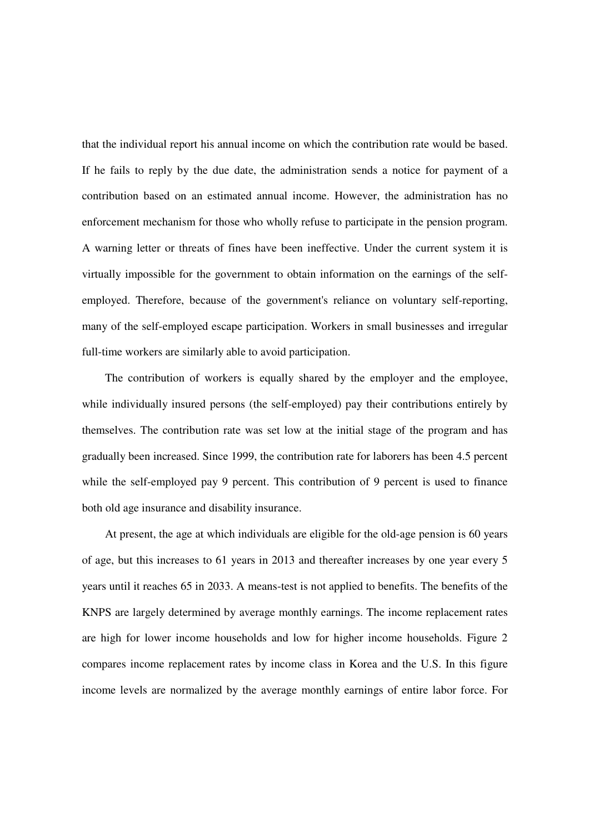that the individual report his annual income on which the contribution rate would be based. If he fails to reply by the due date, the administration sends a notice for payment of a contribution based on an estimated annual income. However, the administration has no enforcement mechanism for those who wholly refuse to participate in the pension program. A warning letter or threats of fines have been ineffective. Under the current system it is virtually impossible for the government to obtain information on the earnings of the selfemployed. Therefore, because of the government's reliance on voluntary self-reporting, many of the self-employed escape participation. Workers in small businesses and irregular full-time workers are similarly able to avoid participation.

 The contribution of workers is equally shared by the employer and the employee, while individually insured persons (the self-employed) pay their contributions entirely by themselves. The contribution rate was set low at the initial stage of the program and has gradually been increased. Since 1999, the contribution rate for laborers has been 4.5 percent while the self-employed pay 9 percent. This contribution of 9 percent is used to finance both old age insurance and disability insurance.

 At present, the age at which individuals are eligible for the old-age pension is 60 years of age, but this increases to 61 years in 2013 and thereafter increases by one year every 5 years until it reaches 65 in 2033. A means-test is not applied to benefits. The benefits of the KNPS are largely determined by average monthly earnings. The income replacement rates are high for lower income households and low for higher income households. Figure 2 compares income replacement rates by income class in Korea and the U.S. In this figure income levels are normalized by the average monthly earnings of entire labor force. For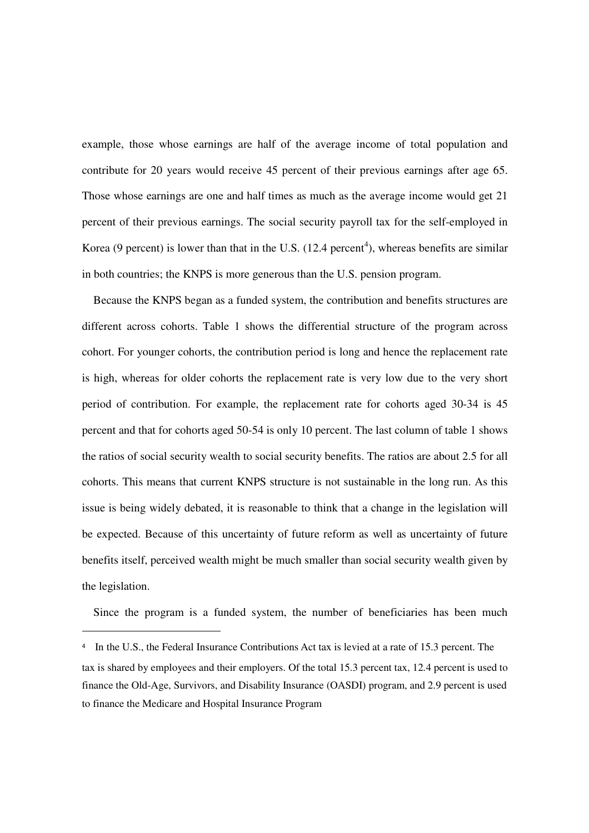example, those whose earnings are half of the average income of total population and contribute for 20 years would receive 45 percent of their previous earnings after age 65. Those whose earnings are one and half times as much as the average income would get 21 percent of their previous earnings. The social security payroll tax for the self-employed in Korea (9 percent) is lower than that in the U.S.  $(12.4 \text{ percent}^4)$ , whereas benefits are similar in both countries; the KNPS is more generous than the U.S. pension program.

Because the KNPS began as a funded system, the contribution and benefits structures are different across cohorts. Table 1 shows the differential structure of the program across cohort. For younger cohorts, the contribution period is long and hence the replacement rate is high, whereas for older cohorts the replacement rate is very low due to the very short period of contribution. For example, the replacement rate for cohorts aged 30-34 is 45 percent and that for cohorts aged 50-54 is only 10 percent. The last column of table 1 shows the ratios of social security wealth to social security benefits. The ratios are about 2.5 for all cohorts. This means that current KNPS structure is not sustainable in the long run. As this issue is being widely debated, it is reasonable to think that a change in the legislation will be expected. Because of this uncertainty of future reform as well as uncertainty of future benefits itself, perceived wealth might be much smaller than social security wealth given by the legislation.

Since the program is a funded system, the number of beneficiaries has been much

 $\overline{a}$ 

<sup>4</sup> In the U.S., the Federal Insurance Contributions Act tax is levied at a rate of 15.3 percent. The tax is shared by employees and their employers. Of the total 15.3 percent tax, 12.4 percent is used to finance the Old-Age, Survivors, and Disability Insurance (OASDI) program, and 2.9 percent is used to finance the Medicare and Hospital Insurance Program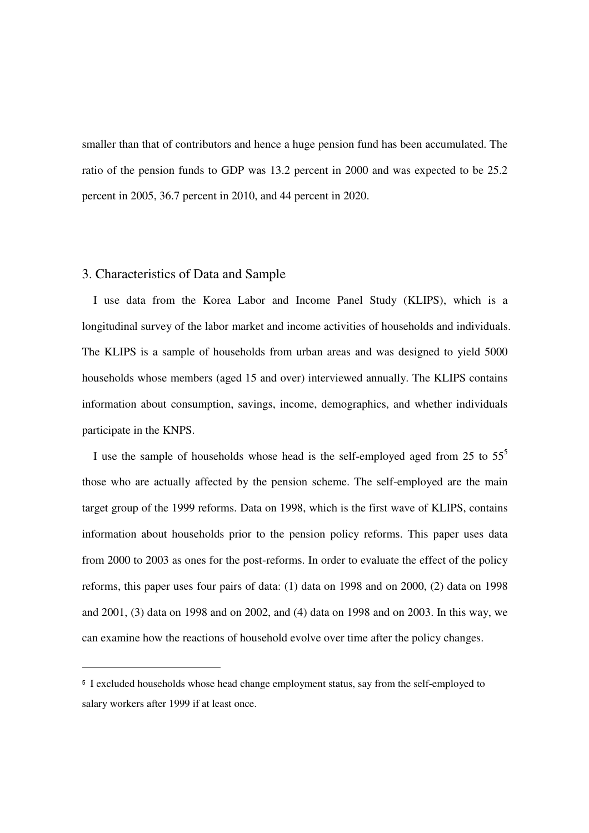smaller than that of contributors and hence a huge pension fund has been accumulated. The ratio of the pension funds to GDP was 13.2 percent in 2000 and was expected to be 25.2 percent in 2005, 36.7 percent in 2010, and 44 percent in 2020.

#### 3. Characteristics of Data and Sample

-

I use data from the Korea Labor and Income Panel Study (KLIPS), which is a longitudinal survey of the labor market and income activities of households and individuals. The KLIPS is a sample of households from urban areas and was designed to yield 5000 households whose members (aged 15 and over) interviewed annually. The KLIPS contains information about consumption, savings, income, demographics, and whether individuals participate in the KNPS.

I use the sample of households whose head is the self-employed aged from 25 to  $55<sup>5</sup>$ those who are actually affected by the pension scheme. The self-employed are the main target group of the 1999 reforms. Data on 1998, which is the first wave of KLIPS, contains information about households prior to the pension policy reforms. This paper uses data from 2000 to 2003 as ones for the post-reforms. In order to evaluate the effect of the policy reforms, this paper uses four pairs of data: (1) data on 1998 and on 2000, (2) data on 1998 and 2001, (3) data on 1998 and on 2002, and (4) data on 1998 and on 2003. In this way, we can examine how the reactions of household evolve over time after the policy changes.

<sup>5</sup> I excluded households whose head change employment status, say from the self-employed to salary workers after 1999 if at least once.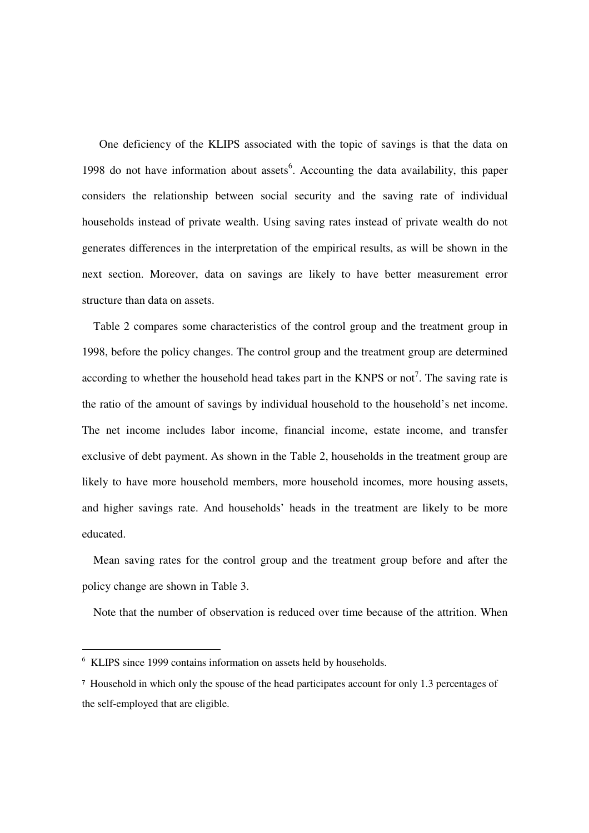One deficiency of the KLIPS associated with the topic of savings is that the data on 1998 do not have information about assets<sup>6</sup>. Accounting the data availability, this paper considers the relationship between social security and the saving rate of individual households instead of private wealth. Using saving rates instead of private wealth do not generates differences in the interpretation of the empirical results, as will be shown in the next section. Moreover, data on savings are likely to have better measurement error structure than data on assets.

Table 2 compares some characteristics of the control group and the treatment group in 1998, before the policy changes. The control group and the treatment group are determined according to whether the household head takes part in the KNPS or not<sup>7</sup>. The saving rate is the ratio of the amount of savings by individual household to the household's net income. The net income includes labor income, financial income, estate income, and transfer exclusive of debt payment. As shown in the Table 2, households in the treatment group are likely to have more household members, more household incomes, more housing assets, and higher savings rate. And households' heads in the treatment are likely to be more educated.

Mean saving rates for the control group and the treatment group before and after the policy change are shown in Table 3.

Note that the number of observation is reduced over time because of the attrition. When

-

<sup>6</sup> KLIPS since 1999 contains information on assets held by households.

<sup>7</sup> Household in which only the spouse of the head participates account for only 1.3 percentages of the self-employed that are eligible.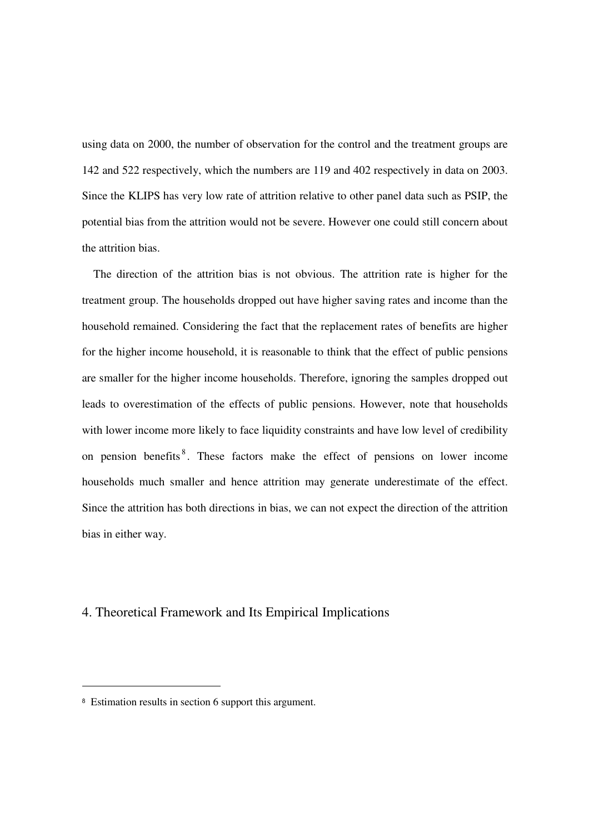using data on 2000, the number of observation for the control and the treatment groups are 142 and 522 respectively, which the numbers are 119 and 402 respectively in data on 2003. Since the KLIPS has very low rate of attrition relative to other panel data such as PSIP, the potential bias from the attrition would not be severe. However one could still concern about the attrition bias.

The direction of the attrition bias is not obvious. The attrition rate is higher for the treatment group. The households dropped out have higher saving rates and income than the household remained. Considering the fact that the replacement rates of benefits are higher for the higher income household, it is reasonable to think that the effect of public pensions are smaller for the higher income households. Therefore, ignoring the samples dropped out leads to overestimation of the effects of public pensions. However, note that households with lower income more likely to face liquidity constraints and have low level of credibility on pension benefits<sup>8</sup>. These factors make the effect of pensions on lower income households much smaller and hence attrition may generate underestimate of the effect. Since the attrition has both directions in bias, we can not expect the direction of the attrition bias in either way.

## 4. Theoretical Framework and Its Empirical Implications

L

<sup>8</sup> Estimation results in section 6 support this argument.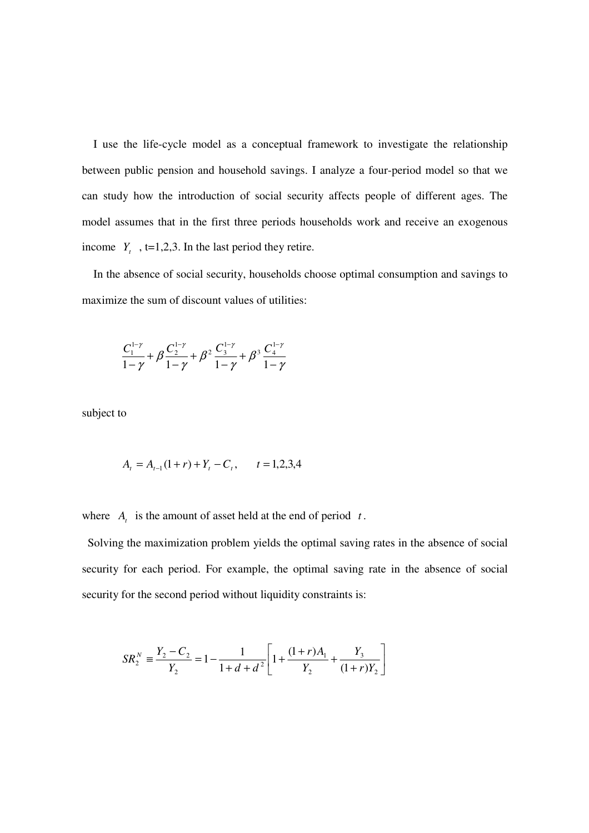I use the life-cycle model as a conceptual framework to investigate the relationship between public pension and household savings. I analyze a four-period model so that we can study how the introduction of social security affects people of different ages. The model assumes that in the first three periods households work and receive an exogenous income  $Y_t$ ,  $t=1,2,3$ . In the last period they retire.

In the absence of social security, households choose optimal consumption and savings to maximize the sum of discount values of utilities:

$$
\frac{C_1^{1-\gamma}}{1-\gamma}+\beta\frac{C_2^{1-\gamma}}{1-\gamma}+\beta^2\frac{C_3^{1-\gamma}}{1-\gamma}+\beta^3\frac{C_4^{1-\gamma}}{1-\gamma}
$$

subject to

$$
A_t = A_{t-1}(1+r) + Y_t - C_t, \qquad t = 1,2,3,4
$$

where  $A_t$  is the amount of asset held at the end of period  $t$ .

 Solving the maximization problem yields the optimal saving rates in the absence of social security for each period. For example, the optimal saving rate in the absence of social security for the second period without liquidity constraints is:

$$
SR_2^N \equiv \frac{Y_2 - C_2}{Y_2} = 1 - \frac{1}{1 + d + d^2} \left[ 1 + \frac{(1+r)A_1}{Y_2} + \frac{Y_3}{(1+r)Y_2} \right]
$$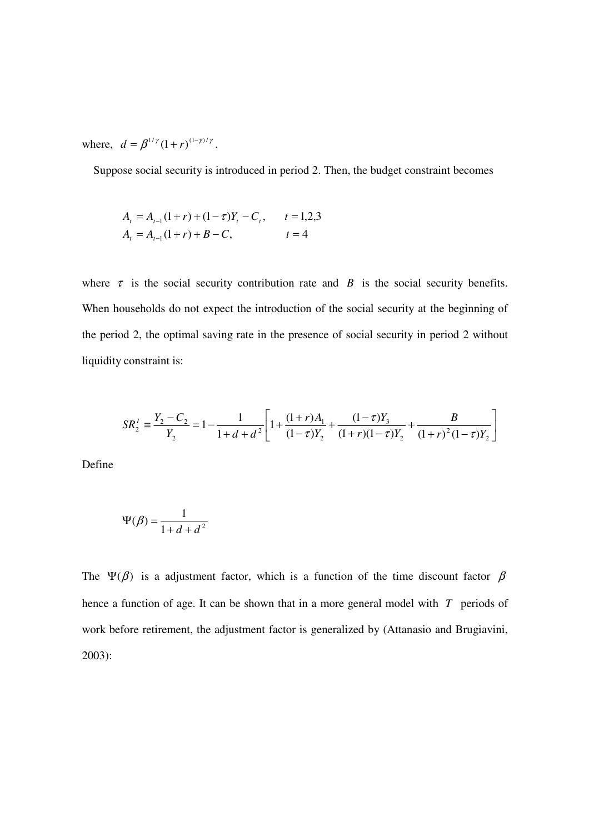where,  $d = \beta^{1/\gamma} (1+r)^{(1-\gamma)/\gamma}$ .

Suppose social security is introduced in period 2. Then, the budget constraint becomes

$$
A_{t} = A_{t-1}(1+r) + (1-\tau)Y_{t} - C_{t}, \qquad t = 1,2,3
$$
  

$$
A_{t} = A_{t-1}(1+r) + B - C, \qquad t = 4
$$

where  $\tau$  is the social security contribution rate and *B* is the social security benefits. When households do not expect the introduction of the social security at the beginning of the period 2, the optimal saving rate in the presence of social security in period 2 without liquidity constraint is:

$$
SR_2^I = \frac{Y_2 - C_2}{Y_2} = 1 - \frac{1}{1 + d + d^2} \left[ 1 + \frac{(1+r)A_1}{(1-\tau)Y_2} + \frac{(1-\tau)Y_3}{(1+r)(1-\tau)Y_2} + \frac{B}{(1+r)^2(1-\tau)Y_2} \right]
$$

Define

$$
\Psi(\beta) = \frac{1}{1+d+d^2}
$$

The Ψ( $\beta$ ) is a adjustment factor, which is a function of the time discount factor  $\beta$ hence a function of age. It can be shown that in a more general model with *T* periods of work before retirement, the adjustment factor is generalized by (Attanasio and Brugiavini, 2003):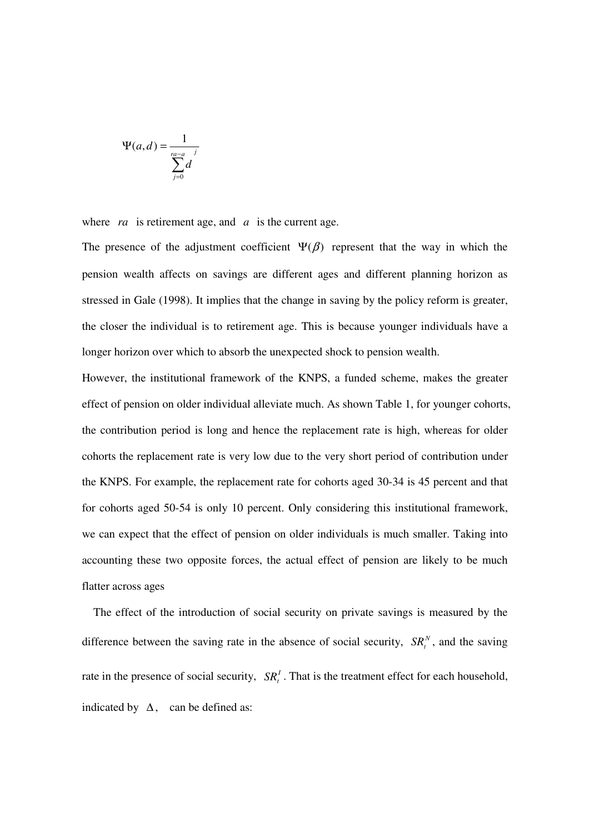$$
\Psi(a,d) = \frac{1}{\sum_{j=0}^{ra-a} d}
$$

where *ra* is retirement age, and *a* is the current age.

The presence of the adjustment coefficient  $\Psi(\beta)$  represent that the way in which the pension wealth affects on savings are different ages and different planning horizon as stressed in Gale (1998). It implies that the change in saving by the policy reform is greater, the closer the individual is to retirement age. This is because younger individuals have a longer horizon over which to absorb the unexpected shock to pension wealth.

However, the institutional framework of the KNPS, a funded scheme, makes the greater effect of pension on older individual alleviate much. As shown Table 1, for younger cohorts, the contribution period is long and hence the replacement rate is high, whereas for older cohorts the replacement rate is very low due to the very short period of contribution under the KNPS. For example, the replacement rate for cohorts aged 30-34 is 45 percent and that for cohorts aged 50-54 is only 10 percent. Only considering this institutional framework, we can expect that the effect of pension on older individuals is much smaller. Taking into accounting these two opposite forces, the actual effect of pension are likely to be much flatter across ages

The effect of the introduction of social security on private savings is measured by the difference between the saving rate in the absence of social security,  $SR_t^N$ , and the saving rate in the presence of social security,  $SR<sub>t</sub><sup>t</sup>$ . That is the treatment effect for each household, indicated by  $\Delta$ , can be defined as: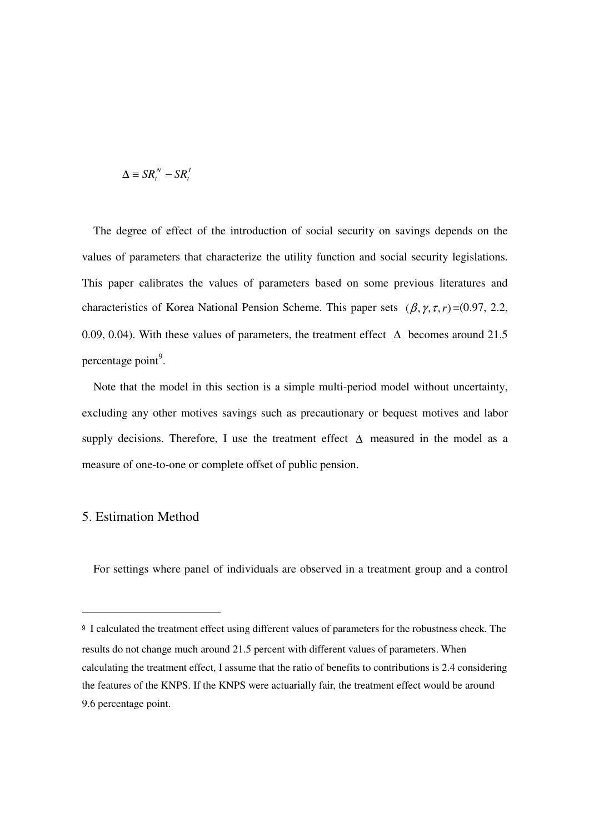$$
\Delta \equiv SR_t^N - SR_t^I
$$

 The degree of effect of the introduction of social security on savings depends on the values of parameters that characterize the utility function and social security legislations. This paper calibrates the values of parameters based on some previous literatures and characteristics of Korea National Pension Scheme. This paper sets  $(\beta, \gamma, \tau, r) = (0.97, 2.2,$ 0.09, 0.04). With these values of parameters, the treatment effect  $\Delta$  becomes around 21.5 percentage point<sup>9</sup>.

 Note that the model in this section is a simple multi-period model without uncertainty, excluding any other motives savings such as precautionary or bequest motives and labor supply decisions. Therefore, I use the treatment effect  $\Delta$  measured in the model as a measure of one-to-one or complete offset of public pension.

## 5. Estimation Method

-

For settings where panel of individuals are observed in a treatment group and a control

<sup>&</sup>lt;sup>9</sup> I calculated the treatment effect using different values of parameters for the robustness check. The results do not change much around 21.5 percent with different values of parameters. When calculating the treatment effect, I assume that the ratio of benefits to contributions is 2.4 considering the features of the KNPS. If the KNPS were actuarially fair, the treatment effect would be around 9.6 percentage point.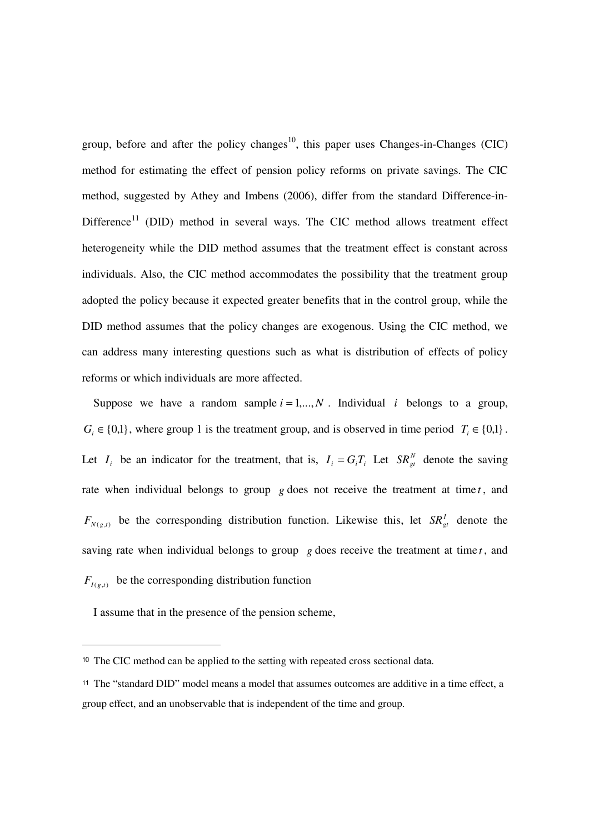group, before and after the policy changes<sup>10</sup>, this paper uses Changes-in-Changes (CIC) method for estimating the effect of pension policy reforms on private savings. The CIC method, suggested by Athey and Imbens (2006), differ from the standard Difference-in- $Difference<sup>11</sup>$  (DID) method in several ways. The CIC method allows treatment effect heterogeneity while the DID method assumes that the treatment effect is constant across individuals. Also, the CIC method accommodates the possibility that the treatment group adopted the policy because it expected greater benefits that in the control group, while the DID method assumes that the policy changes are exogenous. Using the CIC method, we can address many interesting questions such as what is distribution of effects of policy reforms or which individuals are more affected.

Suppose we have a random sample  $i = 1,...,N$ . Individual *i* belongs to a group,  $G_i \in \{0,1\}$ , where group 1 is the treatment group, and is observed in time period  $T_i \in \{0,1\}$ . Let  $I_i$  be an indicator for the treatment, that is,  $I_i = G_i T_i$  Let  $SR_{gt}^N$  denote the saving rate when individual belongs to group *g* does not receive the treatment at time *t*, and  $F_{N(g,t)}$  be the corresponding distribution function. Likewise this, let  $SR_{gt}^I$  denote the saving rate when individual belongs to group  $g$  does receive the treatment at time  $t$ , and  $F_{I(g,t)}$  be the corresponding distribution function

I assume that in the presence of the pension scheme,

 $\overline{a}$ 

<sup>10</sup> The CIC method can be applied to the setting with repeated cross sectional data.

<sup>11</sup> The "standard DID" model means a model that assumes outcomes are additive in a time effect, a group effect, and an unobservable that is independent of the time and group.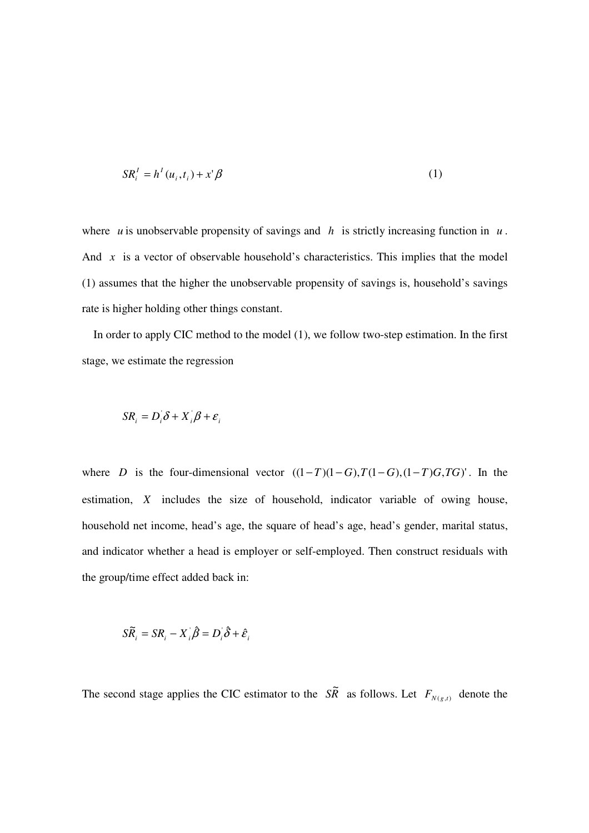$$
SR_i^I = h^I(u_i, t_i) + x^i \beta \tag{1}
$$

where *u* is unobservable propensity of savings and *h* is strictly increasing function in  $u$ . And  $\bar{x}$  is a vector of observable household's characteristics. This implies that the model (1) assumes that the higher the unobservable propensity of savings is, household's savings rate is higher holding other things constant.

In order to apply CIC method to the model (1), we follow two-step estimation. In the first stage, we estimate the regression

$$
SR_i = D_i \delta + X_i \beta + \varepsilon_i
$$

where *D* is the four-dimensional vector  $((1-T)(1-G), T(1-G), (1-T)G, TG)'$ . In the estimation, *X* includes the size of household, indicator variable of owing house, household net income, head's age, the square of head's age, head's gender, marital status, and indicator whether a head is employer or self-employed. Then construct residuals with the group/time effect added back in:

$$
S\widetilde{R}_i = SR_i - X_i \widehat{\beta} = D_i \widehat{\delta} + \widehat{\varepsilon}_i
$$

The second stage applies the CIC estimator to the  $S\tilde{R}$  as follows. Let  $F_{N(g,t)}$  denote the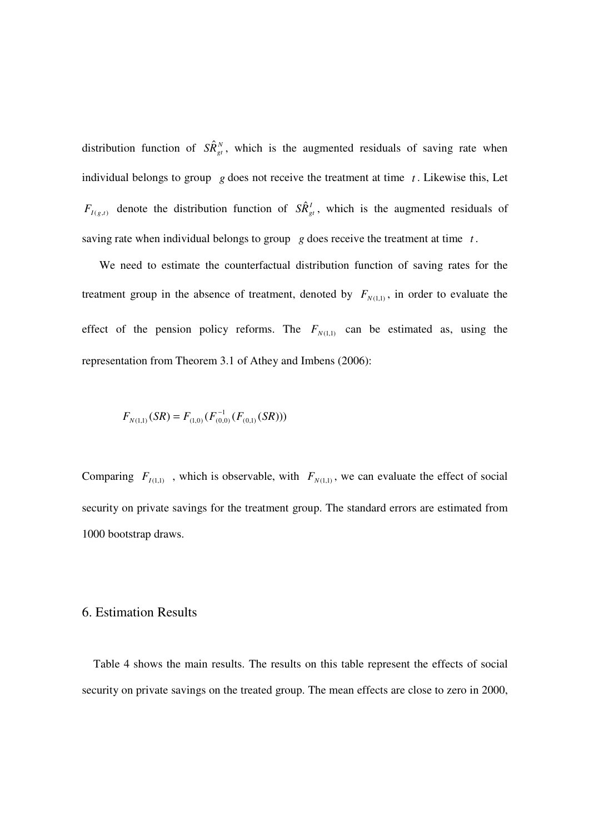distribution function of  $S\hat{R}_{gt}^N$ , which is the augmented residuals of saving rate when individual belongs to group  $g$  does not receive the treatment at time  $t$ . Likewise this, Let  $F_{I(g,t)}$  denote the distribution function of  $S\hat{R}_{gt}^I$ , which is the augmented residuals of saving rate when individual belongs to group *g* does receive the treatment at time *t* .

 We need to estimate the counterfactual distribution function of saving rates for the treatment group in the absence of treatment, denoted by  $F_{N(1,1)}$ , in order to evaluate the effect of the pension policy reforms. The  $F_{N(1,1)}$  can be estimated as, using the representation from Theorem 3.1 of Athey and Imbens (2006):

$$
F_{N(1,1)}(SR) = F_{(1,0)}(F_{(0,0)}^{-1}(F_{(0,1)}(SR)))
$$

Comparing  $F_{I(1,1)}$ , which is observable, with  $F_{N(1,1)}$ , we can evaluate the effect of social security on private savings for the treatment group. The standard errors are estimated from 1000 bootstrap draws.

#### 6. Estimation Results

Table 4 shows the main results. The results on this table represent the effects of social security on private savings on the treated group. The mean effects are close to zero in 2000,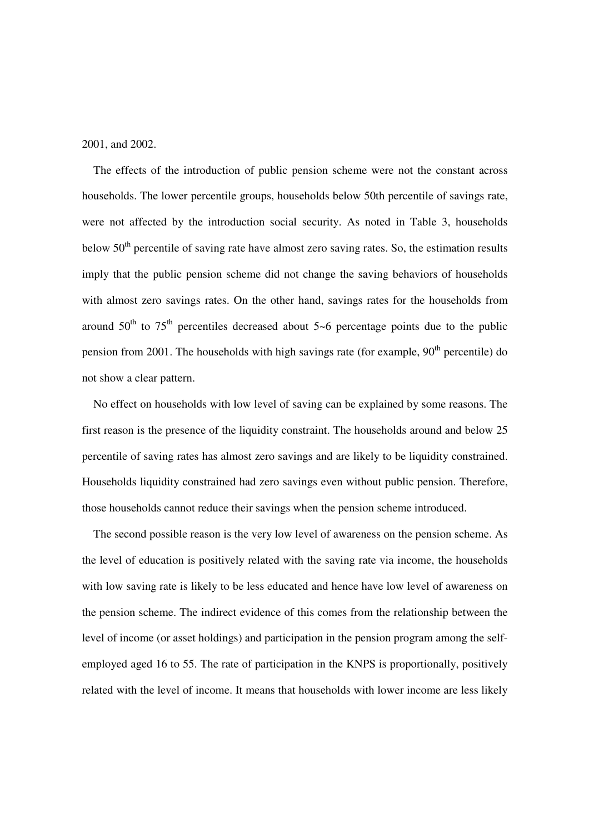2001, and 2002.

The effects of the introduction of public pension scheme were not the constant across households. The lower percentile groups, households below 50th percentile of savings rate, were not affected by the introduction social security. As noted in Table 3, households below  $50<sup>th</sup>$  percentile of saving rate have almost zero saving rates. So, the estimation results imply that the public pension scheme did not change the saving behaviors of households with almost zero savings rates. On the other hand, savings rates for the households from around  $50<sup>th</sup>$  to  $75<sup>th</sup>$  percentiles decreased about  $5-6$  percentage points due to the public pension from 2001. The households with high savings rate (for example,  $90<sup>th</sup>$  percentile) do not show a clear pattern.

No effect on households with low level of saving can be explained by some reasons. The first reason is the presence of the liquidity constraint. The households around and below 25 percentile of saving rates has almost zero savings and are likely to be liquidity constrained. Households liquidity constrained had zero savings even without public pension. Therefore, those households cannot reduce their savings when the pension scheme introduced.

The second possible reason is the very low level of awareness on the pension scheme. As the level of education is positively related with the saving rate via income, the households with low saving rate is likely to be less educated and hence have low level of awareness on the pension scheme. The indirect evidence of this comes from the relationship between the level of income (or asset holdings) and participation in the pension program among the selfemployed aged 16 to 55. The rate of participation in the KNPS is proportionally, positively related with the level of income. It means that households with lower income are less likely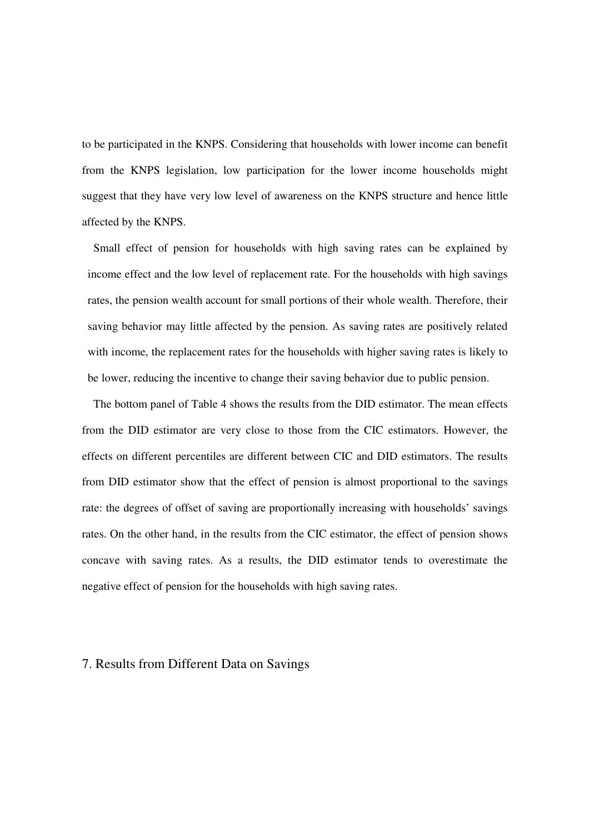to be participated in the KNPS. Considering that households with lower income can benefit from the KNPS legislation, low participation for the lower income households might suggest that they have very low level of awareness on the KNPS structure and hence little affected by the KNPS.

Small effect of pension for households with high saving rates can be explained by income effect and the low level of replacement rate. For the households with high savings rates, the pension wealth account for small portions of their whole wealth. Therefore, their saving behavior may little affected by the pension. As saving rates are positively related with income, the replacement rates for the households with higher saving rates is likely to be lower, reducing the incentive to change their saving behavior due to public pension.

The bottom panel of Table 4 shows the results from the DID estimator. The mean effects from the DID estimator are very close to those from the CIC estimators. However, the effects on different percentiles are different between CIC and DID estimators. The results from DID estimator show that the effect of pension is almost proportional to the savings rate: the degrees of offset of saving are proportionally increasing with households' savings rates. On the other hand, in the results from the CIC estimator, the effect of pension shows concave with saving rates. As a results, the DID estimator tends to overestimate the negative effect of pension for the households with high saving rates.

#### 7. Results from Different Data on Savings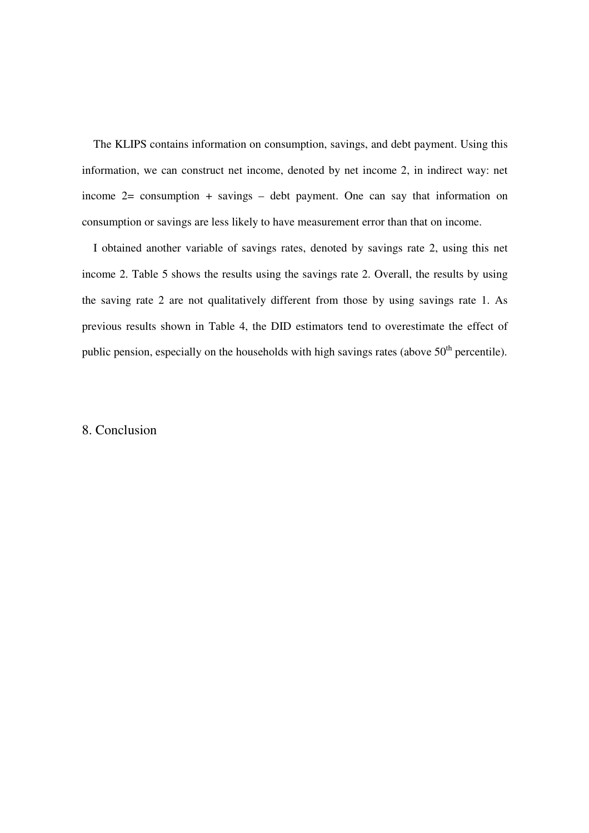The KLIPS contains information on consumption, savings, and debt payment. Using this information, we can construct net income, denoted by net income 2, in indirect way: net income 2= consumption + savings – debt payment. One can say that information on consumption or savings are less likely to have measurement error than that on income.

I obtained another variable of savings rates, denoted by savings rate 2, using this net income 2. Table 5 shows the results using the savings rate 2. Overall, the results by using the saving rate 2 are not qualitatively different from those by using savings rate 1. As previous results shown in Table 4, the DID estimators tend to overestimate the effect of public pension, especially on the households with high savings rates (above  $50<sup>th</sup>$  percentile).

### 8. Conclusion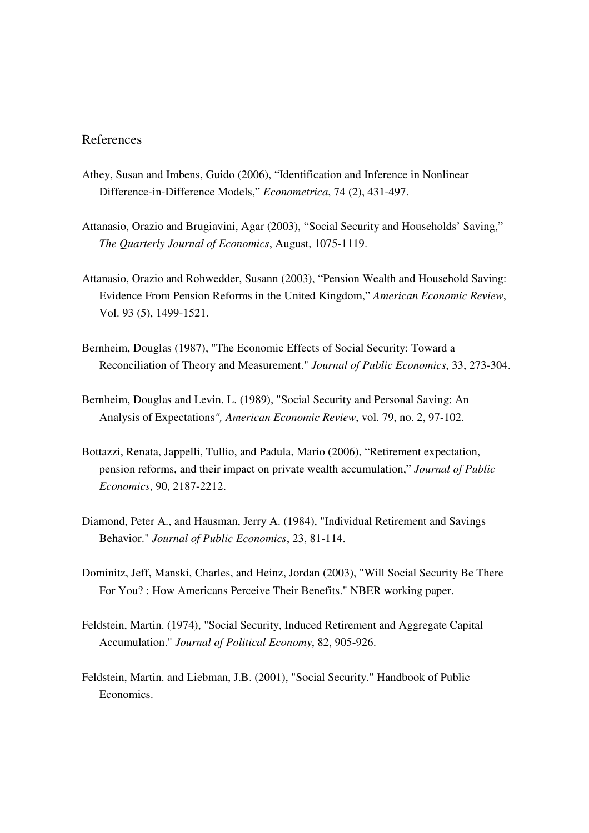## References

- Athey, Susan and Imbens, Guido (2006), "Identification and Inference in Nonlinear Difference-in-Difference Models," *Econometrica*, 74 (2), 431-497.
- Attanasio, Orazio and Brugiavini, Agar (2003), "Social Security and Households' Saving," *The Quarterly Journal of Economics*, August, 1075-1119.
- Attanasio, Orazio and Rohwedder, Susann (2003), "Pension Wealth and Household Saving: Evidence From Pension Reforms in the United Kingdom," *American Economic Review*, Vol. 93 (5), 1499-1521.
- Bernheim, Douglas (1987), "The Economic Effects of Social Security: Toward a Reconciliation of Theory and Measurement." *Journal of Public Economics*, 33, 273-304.
- Bernheim, Douglas and Levin. L. (1989), "Social Security and Personal Saving: An Analysis of Expectations*", American Economic Review*, vol. 79, no. 2, 97-102.
- Bottazzi, Renata, Jappelli, Tullio, and Padula, Mario (2006), "Retirement expectation, pension reforms, and their impact on private wealth accumulation," *Journal of Public Economics*, 90, 2187-2212.
- Diamond, Peter A., and Hausman, Jerry A. (1984), "Individual Retirement and Savings Behavior." *Journal of Public Economics*, 23, 81-114.
- Dominitz, Jeff, Manski, Charles, and Heinz, Jordan (2003), "Will Social Security Be There For You? : How Americans Perceive Their Benefits." NBER working paper.
- Feldstein, Martin. (1974), "Social Security, Induced Retirement and Aggregate Capital Accumulation." *Journal of Political Economy*, 82, 905-926.
- Feldstein, Martin. and Liebman, J.B. (2001), "Social Security." Handbook of Public Economics.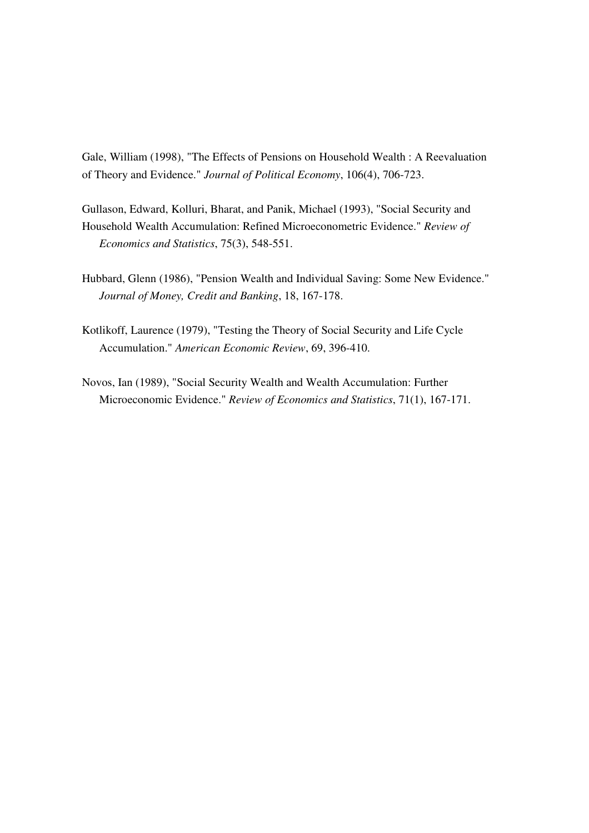Gale, William (1998), "The Effects of Pensions on Household Wealth : A Reevaluation of Theory and Evidence." *Journal of Political Economy*, 106(4), 706-723.

Gullason, Edward, Kolluri, Bharat, and Panik, Michael (1993), "Social Security and Household Wealth Accumulation: Refined Microeconometric Evidence." *Review of Economics and Statistics*, 75(3), 548-551.

- Hubbard, Glenn (1986), "Pension Wealth and Individual Saving: Some New Evidence." *Journal of Money, Credit and Banking*, 18, 167-178.
- Kotlikoff, Laurence (1979), "Testing the Theory of Social Security and Life Cycle Accumulation." *American Economic Review*, 69, 396-410.
- Novos, Ian (1989), "Social Security Wealth and Wealth Accumulation: Further Microeconomic Evidence." *Review of Economics and Statistics*, 71(1), 167-171.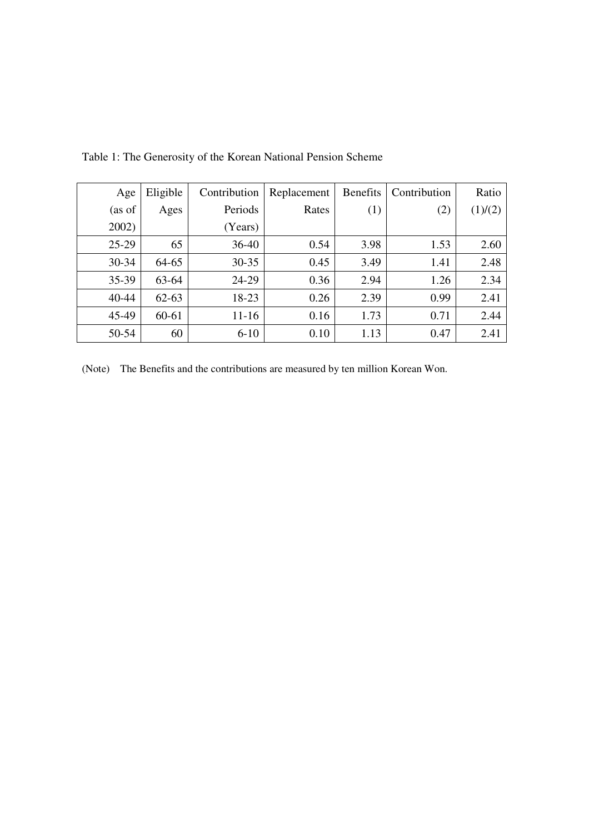| Age     | Eligible  | Contribution | Replacement | <b>Benefits</b> | Contribution | Ratio   |
|---------|-----------|--------------|-------------|-----------------|--------------|---------|
| (as of  | Ages      | Periods      | Rates       | (1)             | (2)          | (1)/(2) |
| 2002)   |           | (Years)      |             |                 |              |         |
| $25-29$ | 65        | $36 - 40$    | 0.54        | 3.98            | 1.53         | 2.60    |
| 30-34   | 64-65     | $30 - 35$    | 0.45        | 3.49            | 1.41         | 2.48    |
| 35-39   | 63-64     | 24-29        | 0.36        | 2.94            | 1.26         | 2.34    |
| 40-44   | $62 - 63$ | 18-23        | 0.26        | 2.39            | 0.99         | 2.41    |
| 45-49   | 60-61     | $11 - 16$    | 0.16        | 1.73            | 0.71         | 2.44    |
| 50-54   | 60        | $6-10$       | 0.10        | 1.13            | 0.47         | 2.41    |

Table 1: The Generosity of the Korean National Pension Scheme

(Note) The Benefits and the contributions are measured by ten million Korean Won.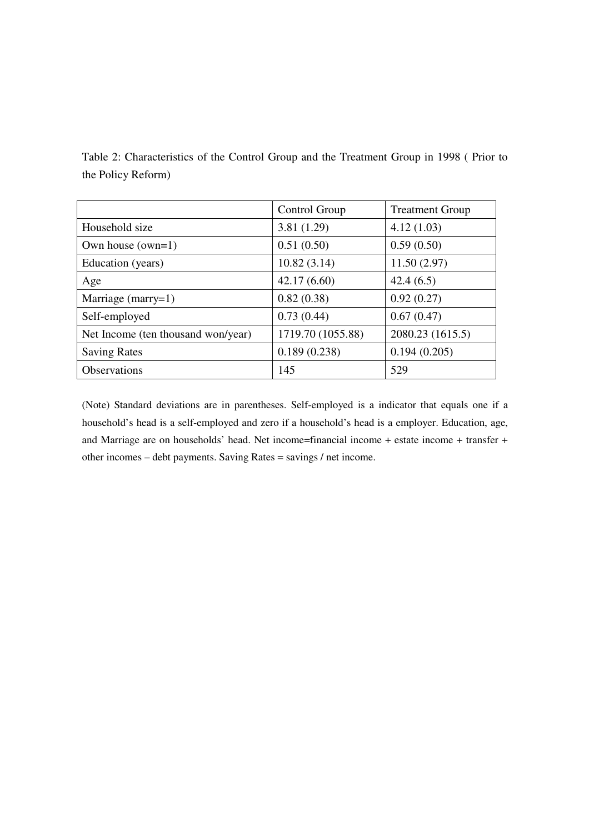Table 2: Characteristics of the Control Group and the Treatment Group in 1998 ( Prior to the Policy Reform)

|                                    | Control Group     | <b>Treatment Group</b> |
|------------------------------------|-------------------|------------------------|
| Household size                     | 3.81(1.29)        | 4.12(1.03)             |
| Own house $(own=1)$                | 0.51(0.50)        | 0.59(0.50)             |
| Education (years)                  | 10.82(3.14)       | 11.50(2.97)            |
| Age                                | 42.17(6.60)       | 42.4(6.5)              |
| Marriage (marry=1)                 | 0.82(0.38)        | 0.92(0.27)             |
| Self-employed                      | 0.73(0.44)        | 0.67(0.47)             |
| Net Income (ten thousand won/year) | 1719.70 (1055.88) | 2080.23 (1615.5)       |
| <b>Saving Rates</b>                | 0.189(0.238)      | 0.194(0.205)           |
| <b>Observations</b>                | 145               | 529                    |

(Note) Standard deviations are in parentheses. Self-employed is a indicator that equals one if a household's head is a self-employed and zero if a household's head is a employer. Education, age, and Marriage are on households' head. Net income=financial income + estate income + transfer + other incomes – debt payments. Saving Rates = savings / net income.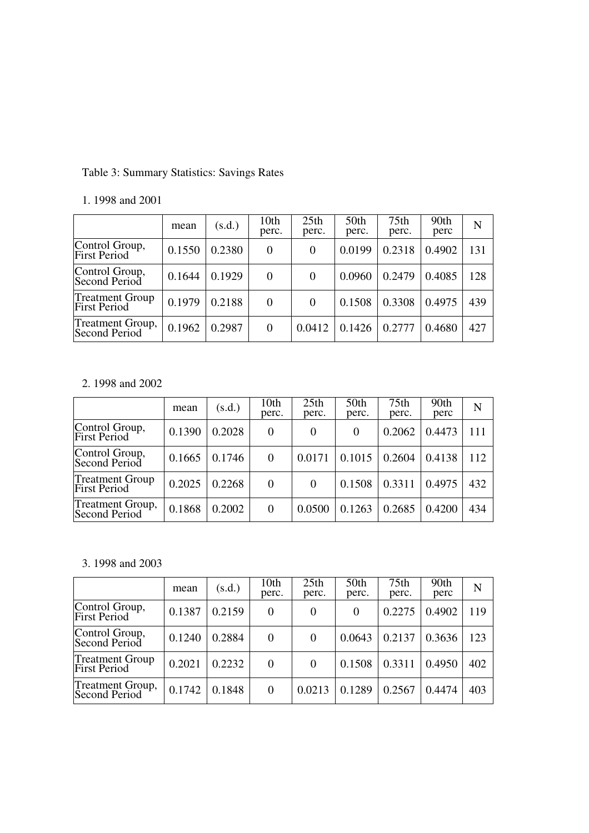# Table 3: Summary Statistics: Savings Rates

|                                               | mean   | (s.d.) | 10 <sub>th</sub><br>perc. | 25 <sub>th</sub><br>perc. | 50th<br>perc. | 75th<br>perc. | 90th<br>perc | N   |
|-----------------------------------------------|--------|--------|---------------------------|---------------------------|---------------|---------------|--------------|-----|
| Control Group,<br>First Period                | 0.1550 | 0.2380 | $\theta$                  | $\theta$                  | 0.0199        | 0.2318        | 0.4902       | 131 |
| Control Group,<br>Second Period               | 0.1644 | 0.1929 | $\Omega$                  | $\theta$                  | 0.0960        | 0.2479        | 0.4085       | 128 |
| <b>Treatment Group</b><br><b>First Period</b> | 0.1979 | 0.2188 | $\theta$                  | $\Omega$                  | 0.1508        | 0.3308        | 0.4975       | 439 |
| Treatment Group,<br>Second Period             | 0.1962 | 0.2987 | $\Omega$                  | 0.0412                    | 0.1426        | 0.2777        | 0.4680       | 427 |

# 1. 1998 and 2001

# 2. 1998 and 2002

|                                               | mean   | (s.d.) | 10th<br>perc. | 25 <sub>th</sub><br>perc. | 50th<br>perc. | 75th<br>perc. | 90th<br>perc | N   |
|-----------------------------------------------|--------|--------|---------------|---------------------------|---------------|---------------|--------------|-----|
| Control Group,<br>First Period                | 0.1390 | 0.2028 | $\Omega$      | $\theta$                  | $\theta$      | 0.2062        | 0.4473       | 111 |
| Control Group,<br>Second Period               | 0.1665 | 0.1746 | $\Omega$      | 0.0171                    | 0.1015        | 0.2604        | 0.4138       | 112 |
| <b>Treatment Group</b><br><b>First Period</b> | 0.2025 | 0.2268 | $\theta$      | $\theta$                  | 0.1508        | 0.3311        | 0.4975       | 432 |
| Treatment Group,<br>Second Period             | 0.1868 | 0.2002 | $\Omega$      | 0.0500                    | 0.1263        | 0.2685        | 0.4200       | 434 |

# 3. 1998 and 2003

|                                               | mean   | (s.d.) | 10th<br>perc. | 25th<br>perc. | 50th<br>perc. | 75 <sub>th</sub><br>perc. | 90th<br>perc | N   |
|-----------------------------------------------|--------|--------|---------------|---------------|---------------|---------------------------|--------------|-----|
| Control Group,<br>First Period                | 0.1387 | 0.2159 | $\theta$      | 0             | $\theta$      | 0.2275                    | 0.4902       | 119 |
| Control Group,<br>Second Period               | 0.1240 | 0.2884 | $\Omega$      | $\Omega$      | 0.0643        | 0.2137                    | 0.3636       | 123 |
| <b>Treatment Group</b><br><b>First Period</b> | 0.2021 | 0.2232 | $\Omega$      | $\theta$      | 0.1508        | 0.3311                    | 0.4950       | 402 |
| Treatment Group,<br>Second Period             | 0.1742 | 0.1848 | $\Omega$      | 0.0213        | 0.1289        | 0.2567                    | 0.4474       | 403 |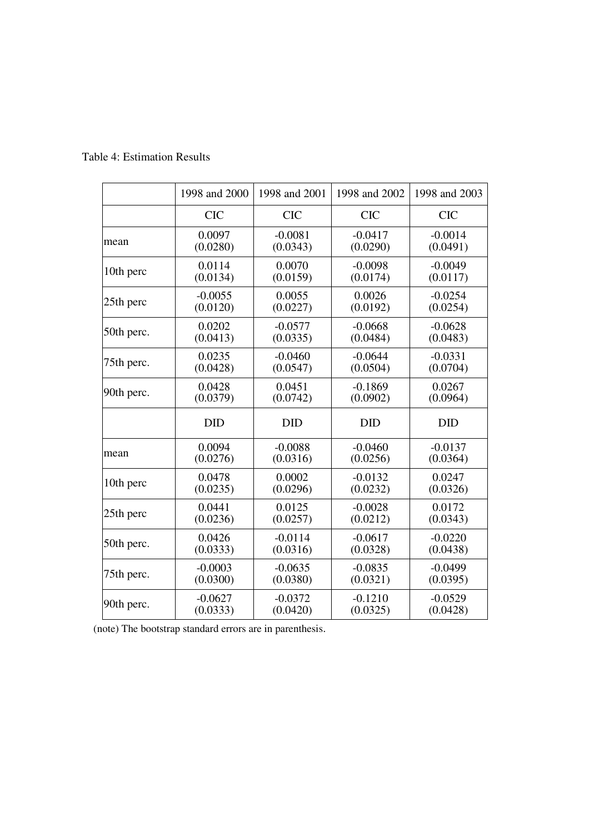|            | 1998 and 2000 | 1998 and 2001 | 1998 and 2002 | 1998 and 2003 |
|------------|---------------|---------------|---------------|---------------|
|            | <b>CIC</b>    | <b>CIC</b>    | <b>CIC</b>    | <b>CIC</b>    |
| mean       | 0.0097        | $-0.0081$     | $-0.0417$     | $-0.0014$     |
|            | (0.0280)      | (0.0343)      | (0.0290)      | (0.0491)      |
| 10th perc  | 0.0114        | 0.0070        | $-0.0098$     | $-0.0049$     |
|            | (0.0134)      | (0.0159)      | (0.0174)      | (0.0117)      |
| 25th perc  | $-0.0055$     | 0.0055        | 0.0026        | $-0.0254$     |
|            | (0.0120)      | (0.0227)      | (0.0192)      | (0.0254)      |
| 50th perc. | 0.0202        | $-0.0577$     | $-0.0668$     | $-0.0628$     |
|            | (0.0413)      | (0.0335)      | (0.0484)      | (0.0483)      |
| 75th perc. | 0.0235        | $-0.0460$     | $-0.0644$     | $-0.0331$     |
|            | (0.0428)      | (0.0547)      | (0.0504)      | (0.0704)      |
| 90th perc. | 0.0428        | 0.0451        | $-0.1869$     | 0.0267        |
|            | (0.0379)      | (0.0742)      | (0.0902)      | (0.0964)      |
|            | <b>DID</b>    | <b>DID</b>    | <b>DID</b>    | <b>DID</b>    |
| mean       | 0.0094        | $-0.0088$     | $-0.0460$     | $-0.0137$     |
|            | (0.0276)      | (0.0316)      | (0.0256)      | (0.0364)      |
| 10th perc  | 0.0478        | 0.0002        | $-0.0132$     | 0.0247        |
|            | (0.0235)      | (0.0296)      | (0.0232)      | (0.0326)      |
| 25th perc  | 0.0441        | 0.0125        | $-0.0028$     | 0.0172        |
|            | (0.0236)      | (0.0257)      | (0.0212)      | (0.0343)      |
| 50th perc. | 0.0426        | $-0.0114$     | $-0.0617$     | $-0.0220$     |
|            | (0.0333)      | (0.0316)      | (0.0328)      | (0.0438)      |
| 75th perc. | $-0.0003$     | $-0.0635$     | $-0.0835$     | $-0.0499$     |
|            | (0.0300)      | (0.0380)      | (0.0321)      | (0.0395)      |
| 90th perc. | $-0.0627$     | $-0.0372$     | $-0.1210$     | $-0.0529$     |
|            | (0.0333)      | (0.0420)      | (0.0325)      | (0.0428)      |

Table 4: Estimation Results

(note) The bootstrap standard errors are in parenthesis.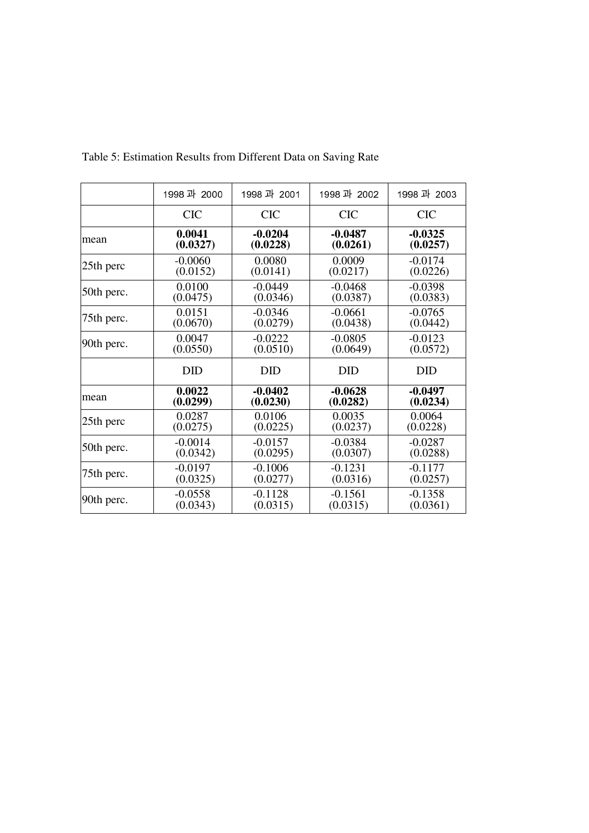|            | 1998 과 2000 | 1998 과 2001 | 1998 과 2002 | 1998 과 2003 |
|------------|-------------|-------------|-------------|-------------|
|            | <b>CIC</b>  | <b>CIC</b>  | <b>CIC</b>  | <b>CIC</b>  |
| mean       | 0.0041      | $-0.0204$   | $-0.0487$   | $-0.0325$   |
|            | (0.0327)    | (0.0228)    | (0.0261)    | (0.0257)    |
| 25th perc  | $-0.0060$   | 0.0080      | 0.0009      | $-0.0174$   |
|            | (0.0152)    | (0.0141)    | (0.0217)    | (0.0226)    |
| 50th perc. | 0.0100      | $-0.0449$   | $-0.0468$   | $-0.0398$   |
|            | (0.0475)    | (0.0346)    | (0.0387)    | (0.0383)    |
| 75th perc. | 0.0151      | $-0.0346$   | $-0.0661$   | $-0.0765$   |
|            | (0.0670)    | (0.0279)    | (0.0438)    | (0.0442)    |
| 90th perc. | 0.0047      | $-0.0222$   | $-0.0805$   | $-0.0123$   |
|            | (0.0550)    | (0.0510)    | (0.0649)    | (0.0572)    |
|            | <b>DID</b>  | <b>DID</b>  | <b>DID</b>  | <b>DID</b>  |
| mean       | 0.0022      | $-0.0402$   | $-0.0628$   | $-0.0497$   |
|            | (0.0299)    | (0.0230)    | (0.0282)    | (0.0234)    |
| 25th perc  | 0.0287      | 0.0106      | 0.0035      | 0.0064      |
|            | (0.0275)    | (0.0225)    | (0.0237)    | (0.0228)    |
| 50th perc. | $-0.0014$   | $-0.0157$   | $-0.0384$   | $-0.0287$   |
|            | (0.0342)    | (0.0295)    | (0.0307)    | (0.0288)    |
| 75th perc. | $-0.0197$   | $-0.1006$   | $-0.1231$   | $-0.1177$   |
|            | (0.0325)    | (0.0277)    | (0.0316)    | (0.0257)    |
| 90th perc. | $-0.0558$   | $-0.1128$   | $-0.1561$   | $-0.1358$   |
|            | (0.0343)    | (0.0315)    | (0.0315)    | (0.0361)    |

Table 5: Estimation Results from Different Data on Saving Rate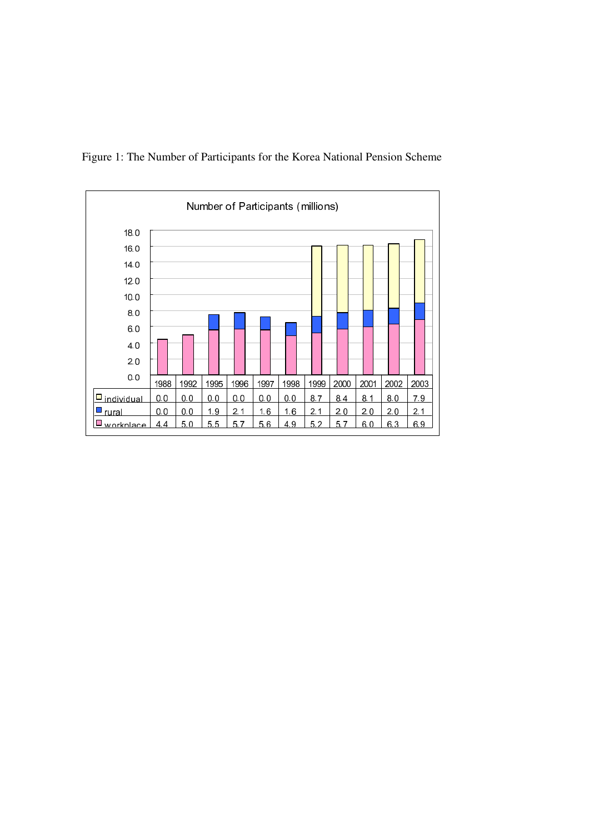

Figure 1: The Number of Participants for the Korea National Pension Scheme